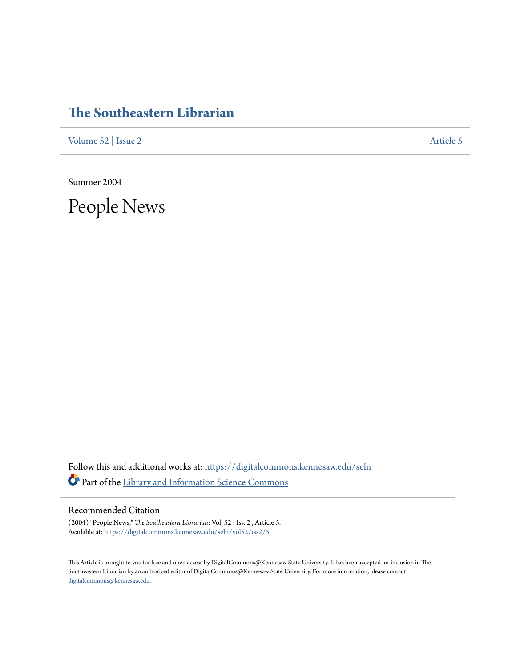## **[The Southeastern Librarian](https://digitalcommons.kennesaw.edu/seln?utm_source=digitalcommons.kennesaw.edu%2Fseln%2Fvol52%2Fiss2%2F5&utm_medium=PDF&utm_campaign=PDFCoverPages)**

[Volume 52](https://digitalcommons.kennesaw.edu/seln/vol52?utm_source=digitalcommons.kennesaw.edu%2Fseln%2Fvol52%2Fiss2%2F5&utm_medium=PDF&utm_campaign=PDFCoverPages) | [Issue 2](https://digitalcommons.kennesaw.edu/seln/vol52/iss2?utm_source=digitalcommons.kennesaw.edu%2Fseln%2Fvol52%2Fiss2%2F5&utm_medium=PDF&utm_campaign=PDFCoverPages) [Article 5](https://digitalcommons.kennesaw.edu/seln/vol52/iss2/5?utm_source=digitalcommons.kennesaw.edu%2Fseln%2Fvol52%2Fiss2%2F5&utm_medium=PDF&utm_campaign=PDFCoverPages)

Summer 2004

People News

Follow this and additional works at: [https://digitalcommons.kennesaw.edu/seln](https://digitalcommons.kennesaw.edu/seln?utm_source=digitalcommons.kennesaw.edu%2Fseln%2Fvol52%2Fiss2%2F5&utm_medium=PDF&utm_campaign=PDFCoverPages) Part of the [Library and Information Science Commons](http://network.bepress.com/hgg/discipline/1018?utm_source=digitalcommons.kennesaw.edu%2Fseln%2Fvol52%2Fiss2%2F5&utm_medium=PDF&utm_campaign=PDFCoverPages)

## Recommended Citation

(2004) "People News," *The Southeastern Librarian*: Vol. 52 : Iss. 2 , Article 5. Available at: [https://digitalcommons.kennesaw.edu/seln/vol52/iss2/5](https://digitalcommons.kennesaw.edu/seln/vol52/iss2/5?utm_source=digitalcommons.kennesaw.edu%2Fseln%2Fvol52%2Fiss2%2F5&utm_medium=PDF&utm_campaign=PDFCoverPages)

This Article is brought to you for free and open access by DigitalCommons@Kennesaw State University. It has been accepted for inclusion in The Southeastern Librarian by an authorized editor of DigitalCommons@Kennesaw State University. For more information, please contact [digitalcommons@kennesaw.edu.](mailto:digitalcommons@kennesaw.edu)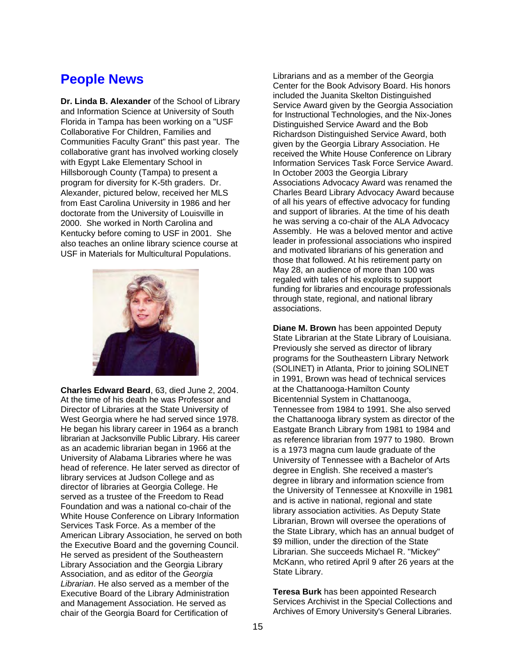## **People News**

**Dr. Linda B. Alexander** of the School of Library and Information Science at University of South Florida in Tampa has been working on a "USF Collaborative For Children, Families and Communities Faculty Grant" this past year. The collaborative grant has involved working closely with Egypt Lake Elementary School in Hillsborough County (Tampa) to present a program for diversity for K-5th graders. Dr. Alexander, pictured below, received her MLS from East Carolina University in 1986 and her doctorate from the University of Louisville in 2000. She worked in North Carolina and Kentucky before coming to USF in 2001. She also teaches an online library science course at USF in Materials for Multicultural Populations.



**Charles Edward Beard**, 63, died June 2, 2004. At the time of his death he was Professor and Director of Libraries at the State University of West Georgia where he had served since 1978. He began his library career in 1964 as a branch librarian at Jacksonville Public Library. His career as an academic librarian began in 1966 at the University of Alabama Libraries where he was head of reference. He later served as director of library services at Judson College and as director of libraries at Georgia College. He served as a trustee of the Freedom to Read Foundation and was a national co-chair of the White House Conference on Library Information Services Task Force. As a member of the American Library Association, he served on both the Executive Board and the governing Council. He served as president of the Southeastern Library Association and the Georgia Library Association, and as editor of the *Georgia Librarian*. He also served as a member of the Executive Board of the Library Administration and Management Association. He served as chair of the Georgia Board for Certification of

Librarians and as a member of the Georgia Center for the Book Advisory Board. His honors included the Juanita Skelton Distinguished Service Award given by the Georgia Association for Instructional Technologies, and the Nix-Jones Distinguished Service Award and the Bob Richardson Distinguished Service Award, both given by the Georgia Library Association. He received the White House Conference on Library Information Services Task Force Service Award. In October 2003 the Georgia Library Associations Advocacy Award was renamed the Charles Beard Library Advocacy Award because of all his years of effective advocacy for funding and support of libraries. At the time of his death he was serving a co-chair of the ALA Advocacy Assembly. He was a beloved mentor and active leader in professional associations who inspired and motivated librarians of his generation and those that followed. At his retirement party on May 28, an audience of more than 100 was regaled with tales of his exploits to support funding for libraries and encourage professionals through state, regional, and national library associations.

**Diane M. Brown** has been appointed Deputy State Librarian at the State Library of Louisiana. Previously she served as director of library programs for the Southeastern Library Network (SOLINET) in Atlanta, Prior to joining SOLINET in 1991, Brown was head of technical services at the Chattanooga-Hamilton County Bicentennial System in Chattanooga, Tennessee from 1984 to 1991. She also served the Chattanooga library system as director of the Eastgate Branch Library from 1981 to 1984 and as reference librarian from 1977 to 1980. Brown is a 1973 magna cum laude graduate of the University of Tennessee with a Bachelor of Arts degree in English. She received a master's degree in library and information science from the University of Tennessee at Knoxville in 1981 and is active in national, regional and state library association activities. As Deputy State Librarian, Brown will oversee the operations of the State Library, which has an annual budget of \$9 million, under the direction of the State Librarian. She succeeds Michael R. "Mickey" McKann, who retired April 9 after 26 years at the State Library.

**Teresa Burk** has been appointed Research Services Archivist in the Special Collections and Archives of Emory University's General Libraries.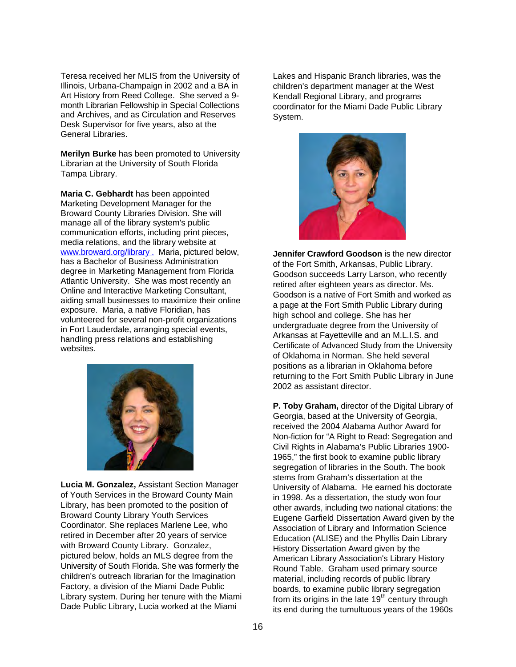Teresa received her MLIS from the University of Illinois, Urbana-Champaign in 2002 and a BA in Art History from Reed College. She served a 9 month Librarian Fellowship in Special Collections and Archives, and as Circulation and Reserves Desk Supervisor for five years, also at the General Libraries.

**Merilyn Burke** has been promoted to University Librarian at the University of South Florida Tampa Library.

**Maria C. Gebhardt** has been appointed Marketing Development Manager for the Broward County Libraries Division. She will manage all of the library system's public communication efforts, including print pieces, media relations, and the library website at [www.broward.org/library](http://www.broward.org/library) . Maria, pictured below, has a Bachelor of Business Administration degree in Marketing Management from Florida Atlantic University. She was most recently an Online and Interactive Marketing Consultant, aiding small businesses to maximize their online exposure. Maria, a native Floridian, has volunteered for several non-profit organizations in Fort Lauderdale, arranging special events, handling press relations and establishing websites.



**Lucia M. Gonzalez,** Assistant Section Manager of Youth Services in the Broward County Main Library, has been promoted to the position of Broward County Library Youth Services Coordinator. She replaces Marlene Lee, who retired in December after 20 years of service with Broward County Library. Gonzalez, pictured below, holds an MLS degree from the University of South Florida. She was formerly the children's outreach librarian for the Imagination Factory, a division of the Miami Dade Public Library system. During her tenure with the Miami Dade Public Library, Lucia worked at the Miami

Lakes and Hispanic Branch libraries, was the children's department manager at the West Kendall Regional Library, and programs coordinator for the Miami Dade Public Library System.



**Jennifer Crawford Goodson** is the new director of the Fort Smith, Arkansas, Public Library. Goodson succeeds Larry Larson, who recently retired after eighteen years as director. Ms. Goodson is a native of Fort Smith and worked as a page at the Fort Smith Public Library during high school and college. She has her undergraduate degree from the University of Arkansas at Fayetteville and an M.L.I.S. and Certificate of Advanced Study from the University of Oklahoma in Norman. She held several positions as a librarian in Oklahoma before returning to the Fort Smith Public Library in June 2002 as assistant director.

**P. Toby Graham,** director of the Digital Library of Georgia, based at the University of Georgia, received the 2004 Alabama Author Award for Non-fiction for "A Right to Read: Segregation and Civil Rights in Alabama's Public Libraries 1900- 1965," the first book to examine public library segregation of libraries in the South. The book stems from Graham's dissertation at the University of Alabama. He earned his doctorate in 1998. As a dissertation, the study won four other awards, including two national citations: the Eugene Garfield Dissertation Award given by the Association of Library and Information Science Education (ALISE) and the Phyllis Dain Library History Dissertation Award given by the American Library Association's Library History Round Table. Graham used primary source material, including records of public library boards, to examine public library segregation from its origins in the late  $19<sup>th</sup>$  century through its end during the tumultuous years of the 1960s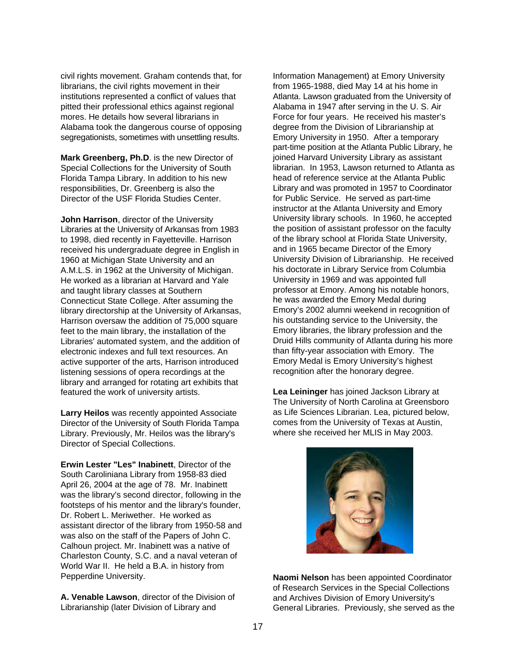civil rights movement. Graham contends that, for librarians, the civil rights movement in their institutions represented a conflict of values that pitted their professional ethics against regional mores. He details how several librarians in Alabama took the dangerous course of opposing segregationists, sometimes with unsettling results.

**Mark Greenberg, Ph.D**. is the new Director of Special Collections for the University of South Florida Tampa Library. In addition to his new responsibilities, Dr. Greenberg is also the Director of the USF Florida Studies Center.

**John Harrison**, director of the University Libraries at the University of Arkansas from 1983 to 1998, died recently in Fayetteville. Harrison received his undergraduate degree in English in 1960 at Michigan State University and an A.M.L.S. in 1962 at the University of Michigan. He worked as a librarian at Harvard and Yale and taught library classes at Southern Connecticut State College. After assuming the library directorship at the University of Arkansas, Harrison oversaw the addition of 75,000 square feet to the main library, the installation of the Libraries' automated system, and the addition of electronic indexes and full text resources. An active supporter of the arts, Harrison introduced listening sessions of opera recordings at the library and arranged for rotating art exhibits that featured the work of university artists.

**Larry Heilos** was recently appointed Associate Director of the University of South Florida Tampa Library. Previously, Mr. Heilos was the library's Director of Special Collections.

**Erwin Lester "Les" Inabinett**, Director of the South Caroliniana Library from 1958-83 died April 26, 2004 at the age of 78. Mr. Inabinett was the library's second director, following in the footsteps of his mentor and the library's founder, Dr. Robert L. Meriwether. He worked as assistant director of the library from 1950-58 and was also on the staff of the Papers of John C. Calhoun project. Mr. Inabinett was a native of Charleston County, S.C. and a naval veteran of World War II. He held a B.A. in history from Pepperdine University.

**A. Venable Lawson**, director of the Division of Librarianship (later Division of Library and

Information Management) at Emory University from 1965-1988, died May 14 at his home in Atlanta. Lawson graduated from the University of Alabama in 1947 after serving in the U. S. Air Force for four years. He received his master's degree from the Division of Librarianship at Emory University in 1950. After a temporary part-time position at the Atlanta Public Library, he joined Harvard University Library as assistant librarian. In 1953, Lawson returned to Atlanta as head of reference service at the Atlanta Public Library and was promoted in 1957 to Coordinator for Public Service. He served as part-time instructor at the Atlanta University and Emory University library schools. In 1960, he accepted the position of assistant professor on the faculty of the library school at Florida State University, and in 1965 became Director of the Emory University Division of Librarianship. He received his doctorate in Library Service from Columbia University in 1969 and was appointed full professor at Emory. Among his notable honors, he was awarded the Emory Medal during Emory's 2002 alumni weekend in recognition of his outstanding service to the University, the Emory libraries, the library profession and the Druid Hills community of Atlanta during his more than fifty-year association with Emory. The Emory Medal is Emory University's highest recognition after the honorary degree.

**Lea Leininger** has joined Jackson Library at The University of North Carolina at Greensboro as Life Sciences Librarian. Lea, pictured below, comes from the University of Texas at Austin, where she received her MLIS in May 2003.



**Naomi Nelson** has been appointed Coordinator of Research Services in the Special Collections and Archives Division of Emory University's General Libraries. Previously, she served as the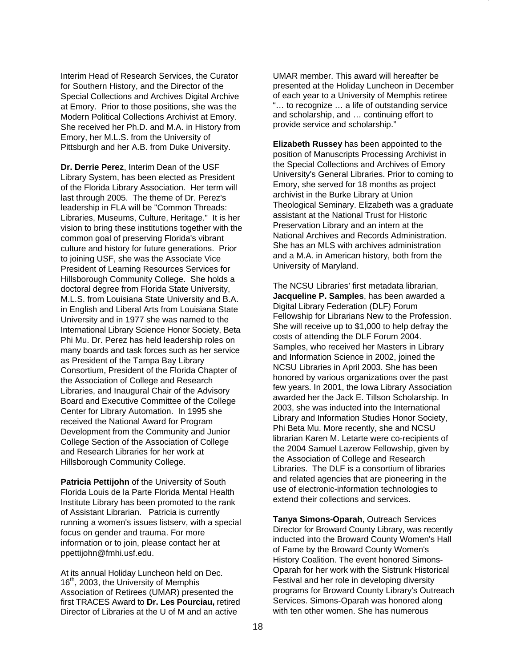Interim Head of Research Services, the Curator for Southern History, and the Director of the Special Collections and Archives Digital Archive at Emory. Prior to those positions, she was the Modern Political Collections Archivist at Emory. She received her Ph.D. and M.A. in History from Emory, her M.L.S. from the University of Pittsburgh and her A.B. from Duke University.

**Dr. Derrie Perez**, Interim Dean of the USF Library System, has been elected as President of the Florida Library Association. Her term will last through 2005. The theme of Dr. Perez's leadership in FLA will be "Common Threads: Libraries, Museums, Culture, Heritage." It is her vision to bring these institutions together with the common goal of preserving Florida's vibrant culture and history for future generations. Prior to joining USF, she was the Associate Vice President of Learning Resources Services for Hillsborough Community College. She holds a doctoral degree from Florida State University, M.L.S. from Louisiana State University and B.A. in English and Liberal Arts from Louisiana State University and in 1977 she was named to the International Library Science Honor Society, Beta Phi Mu. Dr. Perez has held leadership roles on many boards and task forces such as her service as President of the Tampa Bay Library Consortium, President of the Florida Chapter of the Association of College and Research Libraries, and Inaugural Chair of the Advisory Board and Executive Committee of the College Center for Library Automation. In 1995 she received the National Award for Program Development from the Community and Junior College Section of the Association of College and Research Libraries for her work at Hillsborough Community College.

**Patricia Pettijohn** of the University of South Florida Louis de la Parte Florida Mental Health Institute Library has been promoted to the rank of Assistant Librarian. Patricia is currently running a women's issues listserv, with a special focus on gender and trauma. For more information or to join, please contact her at ppettijohn@fmhi.usf.edu.

At its annual Holiday Luncheon held on Dec.  $16<sup>th</sup>$ , 2003, the University of Memphis Association of Retirees (UMAR) presented the first TRACES Award to **Dr. Les Pourciau,** retired Director of Libraries at the U of M and an active

UMAR member. This award will hereafter be presented at the Holiday Luncheon in December of each year to a University of Memphis retiree "… to recognize … a life of outstanding service and scholarship, and … continuing effort to provide service and scholarship."

**Elizabeth Russey** has been appointed to the position of Manuscripts Processing Archivist in the Special Collections and Archives of Emory University's General Libraries. Prior to coming to Emory, she served for 18 months as project archivist in the Burke Library at Union Theological Seminary. Elizabeth was a graduate assistant at the National Trust for Historic Preservation Library and an intern at the National Archives and Records Administration. She has an MLS with archives administration and a M.A. in American history, both from the University of Maryland.

The NCSU Libraries' first metadata librarian, **Jacqueline P. Samples**, has been awarded a Digital Library Federation (DLF) Forum Fellowship for Librarians New to the Profession. She will receive up to \$1,000 to help defray the costs of attending the DLF Forum 2004. Samples, who received her Masters in Library and Information Science in 2002, joined the NCSU Libraries in April 2003. She has been honored by various organizations over the past few years. In 2001, the Iowa Library Association awarded her the Jack E. Tillson Scholarship. In 2003, she was inducted into the International Library and Information Studies Honor Society, Phi Beta Mu. More recently, she and NCSU librarian Karen M. Letarte were co-recipients of the 2004 Samuel Lazerow Fellowship, given by the Association of College and Research Libraries. The DLF is a consortium of libraries and related agencies that are pioneering in the use of electronic-information technologies to extend their collections and services.

**Tanya Simons-Oparah**, Outreach Services Director for Broward County Library, was recently inducted into the Broward County Women's Hall of Fame by the Broward County Women's History Coalition. The event honored Simons-Oparah for her work with the Sistrunk Historical Festival and her role in developing diversity programs for Broward County Library's Outreach Services. Simons-Oparah was honored along with ten other women. She has numerous